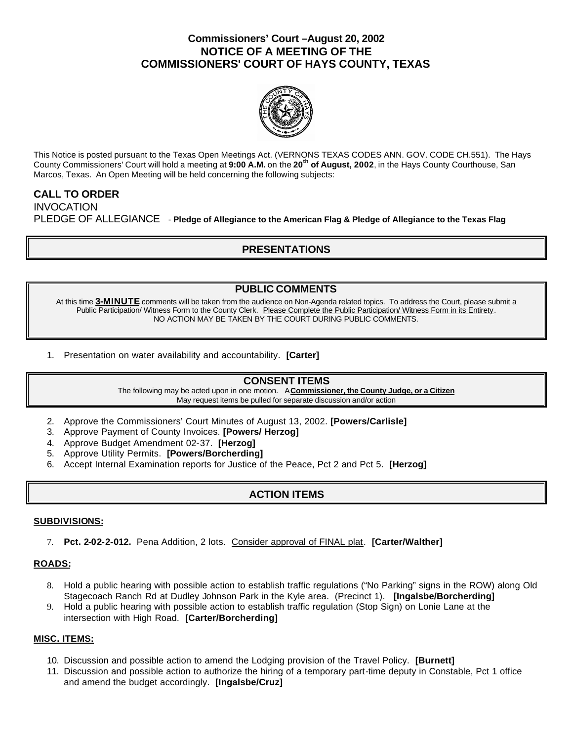# **Commissioners' Court –August 20, 2002 NOTICE OF A MEETING OF THE COMMISSIONERS' COURT OF HAYS COUNTY, TEXAS**



This Notice is posted pursuant to the Texas Open Meetings Act. (VERNONS TEXAS CODES ANN. GOV. CODE CH.551). The Hays County Commissioners' Court will hold a meeting at **9:00 A.M.** on the **20th of August, 2002**, in the Hays County Courthouse, San Marcos, Texas. An Open Meeting will be held concerning the following subjects:

# **CALL TO ORDER**

**INVOCATION** PLEDGE OF ALLEGIANCE - **Pledge of Allegiance to the American Flag & Pledge of Allegiance to the Texas Flag**

# **PRESENTATIONS**

### **PUBLIC COMMENTS**

At this time **3-MINUTE** comments will be taken from the audience on Non-Agenda related topics. To address the Court, please submit a Public Participation/ Witness Form to the County Clerk. Please Complete the Public Participation/ Witness Form in its Entirety. NO ACTION MAY BE TAKEN BY THE COURT DURING PUBLIC COMMENTS.

1. Presentation on water availability and accountability. **[Carter]** 

### **CONSENT ITEMS**

The following may be acted upon in one motion. A **Commissioner, the County Judge, or a Citizen** May request items be pulled for separate discussion and/or action

- 2. Approve the Commissioners' Court Minutes of August 13, 2002. **[Powers/Carlisle]**
- 3. Approve Payment of County Invoices. **[Powers/ Herzog]**
- 4. Approve Budget Amendment 02-37. **[Herzog]**
- 5. Approve Utility Permits. **[Powers/Borcherding]**
- 6. Accept Internal Examination reports for Justice of the Peace, Pct 2 and Pct 5. **[Herzog]**

## **ACTION ITEMS**

#### **SUBDIVISIONS:**

7. **Pct. 2-02-2-012.** Pena Addition, 2 lots. Consider approval of FINAL plat. **[Carter/Walther]**

#### **ROADS:**

- 8. Hold a public hearing with possible action to establish traffic regulations ("No Parking" signs in the ROW) along Old Stagecoach Ranch Rd at Dudley Johnson Park in the Kyle area. (Precinct 1). **[Ingalsbe/Borcherding]**
- 9. Hold a public hearing with possible action to establish traffic regulation (Stop Sign) on Lonie Lane at the intersection with High Road. **[Carter/Borcherding]**

### **MISC. ITEMS:**

- 10. Discussion and possible action to amend the Lodging provision of the Travel Policy. **[Burnett]**
- 11. Discussion and possible action to authorize the hiring of a temporary part-time deputy in Constable, Pct 1 office and amend the budget accordingly. **[Ingalsbe/Cruz]**